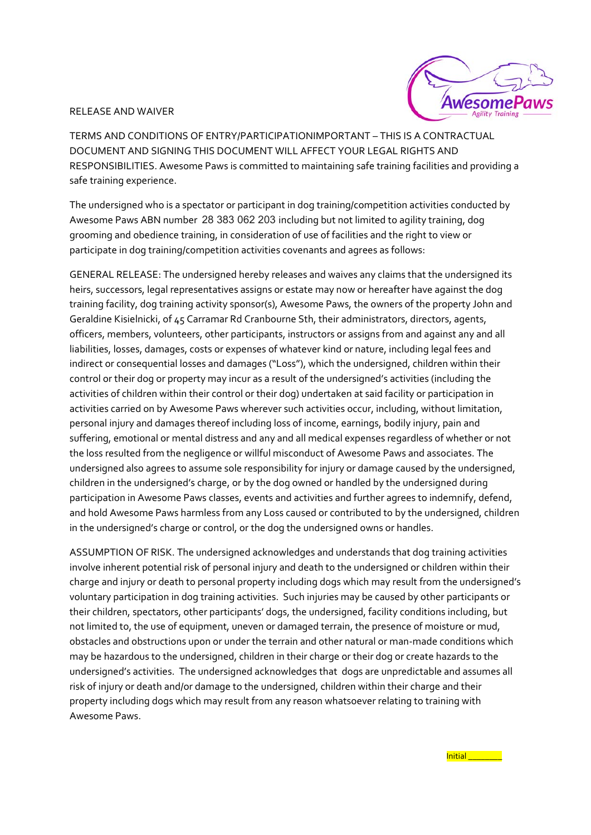## RELEASE AND WAIVER



TERMS AND CONDITIONS OF ENTRY/PARTICIPATIONIMPORTANT – THIS IS A CONTRACTUAL DOCUMENT AND SIGNING THIS DOCUMENT WILL AFFECT YOUR LEGAL RIGHTS AND RESPONSIBILITIES. Awesome Paws is committed to maintaining safe training facilities and providing a safe training experience.

The undersigned who is a spectator or participant in dog training/competition activities conducted by Awesome Paws ABN number 28 383 062 203 including but not limited to agility training, dog grooming and obedience training, in consideration of use of facilities and the right to view or participate in dog training/competition activities covenants and agrees as follows:

GENERAL RELEASE: The undersigned hereby releases and waives any claims that the undersigned its heirs, successors, legal representatives assigns or estate may now or hereafter have against the dog training facility, dog training activity sponsor(s), Awesome Paws, the owners of the property John and Geraldine Kisielnicki, of 45 Carramar Rd Cranbourne Sth, their administrators, directors, agents, officers, members, volunteers, other participants, instructors or assigns from and against any and all liabilities, losses, damages, costs or expenses of whatever kind or nature, including legal fees and indirect or consequential losses and damages ("Loss"), which the undersigned, children within their control or their dog or property may incur as a result of the undersigned's activities (including the activities of children within their control or their dog) undertaken at said facility or participation in activities carried on by Awesome Paws wherever such activities occur, including, without limitation, personal injury and damages thereof including loss of income, earnings, bodily injury, pain and suffering, emotional or mental distress and any and all medical expenses regardless of whether or not the loss resulted from the negligence or willful misconduct of Awesome Paws and associates. The undersigned also agrees to assume sole responsibility for injury or damage caused by the undersigned, children in the undersigned's charge, or by the dog owned or handled by the undersigned during participation in Awesome Paws classes, events and activities and further agrees to indemnify, defend, and hold Awesome Paws harmless from any Loss caused or contributed to by the undersigned, children in the undersigned's charge or control, or the dog the undersigned owns or handles.

ASSUMPTION OF RISK. The undersigned acknowledges and understands that dog training activities involve inherent potential risk of personal injury and death to the undersigned or children within their charge and injury or death to personal property including dogs which may result from the undersigned's voluntary participation in dog training activities. Such injuries may be caused by other participants or their children, spectators, other participants' dogs, the undersigned, facility conditions including, but not limited to, the use of equipment, uneven or damaged terrain, the presence of moisture or mud, obstacles and obstructions upon or under the terrain and other natural or man‐made conditions which may be hazardous to the undersigned, children in their charge or their dog or create hazards to the undersigned's activities. The undersigned acknowledges that dogs are unpredictable and assumes all risk of injury or death and/or damage to the undersigned, children within their charge and their property including dogs which may result from any reason whatsoever relating to training with Awesome Paws.